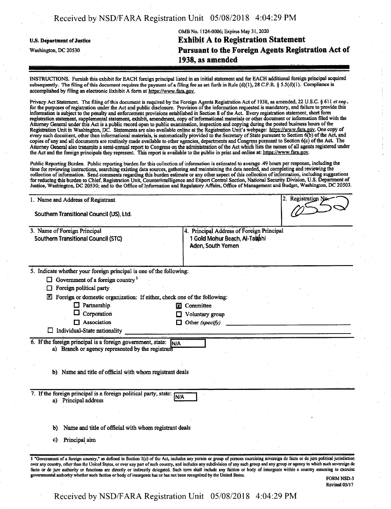# Received by NSD/FARA Registration Unit 05/08/2018 4:04:29 PM

|                                   | 1938, as amended                                   |
|-----------------------------------|----------------------------------------------------|
| Washington, DC 20530              | Pursuant to the Foreign Agents Registration Act of |
| <b>U.S. Department of Justice</b> | <b>Exhibit A to Registration Statement</b>         |
|                                   | OMB No. 1124-0006; Expires May 31, 2020            |

INSTRUCTIONS. Furnish this exhibit for EACH foreign principal listed in an initial statement and for EACH additional foreign principal acquired subsequently. The filing of this document requires the payment of a filing fee as set forth in Rule  $(d)(1)$ , 28 C.F.R. § 5.5(d)(1). Compliance is accomplished by filing an electronic Exhibit A form at https://www.fara.gov.

Privacy Act Statement. The filing ofthis document is required by the Foreign Agents Registration Act of 1938, as amended, 22 U.S.C, § 611 *et xeq.,* for the purposes of registration under the Act and public disclosure. Provision of the information requested is mandatory, and failure to provide this information is subject to the penalty and enforcement provisions established in Section 8 ofthe Act. Every registration statement, short form registration statement, supplemental statement, exhibit, amendment, copy ofinformational materials or other document or information filed with the Attorney General under this Act is a public record open to public examination, inspection and copying during the posted business hours ofthe Registration Unit in Washington, DC. Statements are also available online at the Registration Unit's webpage: https://www.fara.gov. One copy of every such document, other than informational materials, is automatically provided to the Secretary of State pursuant to Section 6(b) of the Act, and copies ofany and all documents are routinely made available to other agencies, departments and Congress pursuant to Section 6(c) ofthe Act The Attorney General also transmits a semi-annual report to Congress on the administration ofthe Act which lists the names ofall agents registered under the Act and the foreign principals they represent. This report is available to the public in print and online at: https://www.fara.gov.

Public Reporting Burden. Public reporting burden for this collection of information is estimated to average .49 hours per response, including the time for reviewing instructions, searching existing data sources, gathering and maintaining the data needed, and completing and reviewing the collection of information. Send comments regarding this burden estimate or any other aspect of this collection of information, including suggestions forreducing this burden to Chief, Registration Unit, Counterintelligence and Export Control Section, National Security Division, U.S. Department of Justice, Washington, DC 20530; and to the Office of Information and Regulatory Affairs, Office of Management and Budget, Washington, DC 20503.

| 1. Name and Address of Registrant |                                                                                                                  |                                                                                                                                                                                                                                                                                                                                                                            |  |  | 2. Registration No. |  |  |
|-----------------------------------|------------------------------------------------------------------------------------------------------------------|----------------------------------------------------------------------------------------------------------------------------------------------------------------------------------------------------------------------------------------------------------------------------------------------------------------------------------------------------------------------------|--|--|---------------------|--|--|
|                                   | Southern Transitional Council (US), Ltd.                                                                         |                                                                                                                                                                                                                                                                                                                                                                            |  |  |                     |  |  |
|                                   | 3. Name of Foreign Principal<br><b>Southern Transitional Council (STC)</b>                                       | 4. Principal Address of Foreign Principal<br>1 Gold Mohur Beach, Al-Tauhhi<br>Aden, South Yemen                                                                                                                                                                                                                                                                            |  |  |                     |  |  |
|                                   | 5. Indicate whether your foreign principal is one of the following:                                              |                                                                                                                                                                                                                                                                                                                                                                            |  |  |                     |  |  |
| ப                                 | Government of a foreign country <sup>1</sup>                                                                     |                                                                                                                                                                                                                                                                                                                                                                            |  |  |                     |  |  |
| ſΙ                                | Foreign political party                                                                                          |                                                                                                                                                                                                                                                                                                                                                                            |  |  |                     |  |  |
|                                   | Foreign or domestic organization: If either, check one of the following:                                         |                                                                                                                                                                                                                                                                                                                                                                            |  |  |                     |  |  |
|                                   | $\Box$ Partnership                                                                                               | Committee<br>IХ                                                                                                                                                                                                                                                                                                                                                            |  |  |                     |  |  |
|                                   | Cörporation                                                                                                      | Voluntary group                                                                                                                                                                                                                                                                                                                                                            |  |  |                     |  |  |
|                                   | Association                                                                                                      | Other (specify)                                                                                                                                                                                                                                                                                                                                                            |  |  |                     |  |  |
|                                   | Individual-State nationality                                                                                     |                                                                                                                                                                                                                                                                                                                                                                            |  |  |                     |  |  |
|                                   | 6. If the foreign principal is a foreign government, state:<br>a) Branch or agency represented by the registrant | <b>IN/A</b>                                                                                                                                                                                                                                                                                                                                                                |  |  |                     |  |  |
|                                   | b) Name and title of official with whom registrant deals                                                         |                                                                                                                                                                                                                                                                                                                                                                            |  |  |                     |  |  |
|                                   |                                                                                                                  |                                                                                                                                                                                                                                                                                                                                                                            |  |  |                     |  |  |
|                                   | 7. If the foreign principal is a foreign political party, state:<br>a) Principal address                         | <b>N/A</b>                                                                                                                                                                                                                                                                                                                                                                 |  |  |                     |  |  |
|                                   |                                                                                                                  |                                                                                                                                                                                                                                                                                                                                                                            |  |  |                     |  |  |
| b)                                | Name and title of official with whom registrant deals                                                            |                                                                                                                                                                                                                                                                                                                                                                            |  |  |                     |  |  |
| C)                                | Principal aim                                                                                                    |                                                                                                                                                                                                                                                                                                                                                                            |  |  |                     |  |  |
|                                   |                                                                                                                  |                                                                                                                                                                                                                                                                                                                                                                            |  |  |                     |  |  |
|                                   |                                                                                                                  | 1 "Government of a foreign country," as defined in Section 1(c) of the Act, includes any person or group of persons exercising sovereign de facto or de jure political jurisdiction<br>over any country, other than the United States, or over any part of such country, and includes any subdivision of any such group and any group or agency to which such sovereign de |  |  |                     |  |  |
|                                   |                                                                                                                  | facto or de jure authority or functions are directly or indirectly delegated. Such term shall include any faction or body of insurgents within a country assuming to exercise                                                                                                                                                                                              |  |  |                     |  |  |

FORM NSD-3 Revised 05/17

Received by NSD/FARA Registration Unit 05/08/2018 4:04:29 PM

governmental authority whether such faction or body of insurgents has or has not been recognized by the United States.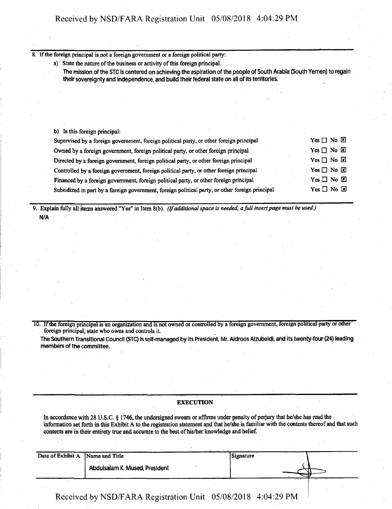8. If the foreign principal is not a foreign government or a foreign political party:

a) State the nature of the business or activity of this foreign principal.

The mission of the STC is centered on achieving the aspiration of the people of South Arabia (South Yemen) to regain **their sovereignty and independence, and build their federal state on all ofitsterritories.**

b) Is this foreign principal:

| Supervised by a foreign government, foreign political party, or other foreign principal         | $Yes \Box No \Box$ |
|-------------------------------------------------------------------------------------------------|--------------------|
| Owned by a foreign government, foreign political party, or other foreign principal              | $Yes \Box No \Box$ |
| Directed by a foreign government, foreign political party, or other foreign principal           | $Yes \Box No \Box$ |
| Controlled by a foreign government, foreign political party, or other foreign principal         | $Yes \Box No \Box$ |
| Financed by a foreign government, foreign political party, or other foreign principal           | $Yes \Box No \Box$ |
| Subsidized in part by a foreign government, foreign political party, or other foreign principal | $Yes \Box No \Box$ |

9. Explain folly all items answered "Yes" in Item 8(b). *(Ifadditionalspace is needed, afull insertpage must be used)* N/A

10. Ifthe foreign principal is an organization and is not owned or controlled by a foreign government, foreign political party or other foreign principal, state who owns and controls it.

The Southern Transitional Council (STC) is self-managed by its President, Mr. Aidroos Alzubeidi, and its twenty-four (24) leading **members ofthe committee.**

#### **EXECUTION**

In accordance with 28 U.S.C. § 1746, the undersigned swears or affirms under penalty of perjury that he/she has read the information set forth in this Exhibit A to the registration statement and that he/she is familiar with the contents thereof and that such contents are in their entirety true and accurate to the best of his/her knowledge and belief.

| Date of Exhibit A Name and Title |                                | Signature | $-$ |
|----------------------------------|--------------------------------|-----------|-----|
|                                  | Abdulsalam K. Mused, President |           |     |
|                                  |                                |           |     |

Received by NSD/FARA Registration Unit 05/08/2018 4:04:29 PM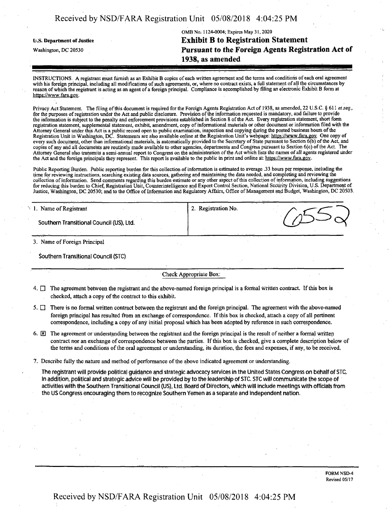| Received by NSD/FARA Registration Unit 05/08/2018 4:04:25 PM |  |  |  |
|--------------------------------------------------------------|--|--|--|
|--------------------------------------------------------------|--|--|--|

# OMB No, 1124-0004; Expires May 31,2020 li.S. Department ofJustice **Exhibit B to Registration Statement** Washington, dc <sup>20530</sup> **Pursuant to the Foreign Agents Registration Act of 1938, as amended**

INSTRUCTIONS. A registrant must furnish as an Exhibit B copies ofeach written agreement and the terms and conditioiis ofeach oral agreement with his foreign principal, including all modifications of such agreements, or, where no contract exists, a full statement of all the circumstances by reason of which the registrant is acting as an agent of a foreign principal. Compliance is accomplished by filing an electronic Exhibit B form at https://www.fara.gov.

Privacy Act Statement. The filing of this document is required for the Foreign Agents Registration Act of 1938, as amended, 22 U.S.C. § 611 *et seq.*, for the purposes of registration under the Act and public disclosure. Provision of the information requested is mandatory, and failure to provide the information is subject to the penalty and enforcement provisions established in Section 8 ofthe Act. Every registration statement, short form registration statement, supplemental statement, exhibit, amendment, copy ofinformational materials or other document or information filed with the Attorney General under this Act is a public record open to public examination, inspection and copying during die posted business hours ofthe Registration Unit in Washington, DC. Statements are also available online at the Registration Unit's webpage: https://www.fara.gov. One copy of<br>every such document, other than informational materials, is automatically prov copies of any and all documents are routinely made available to other agencies, departments and Congress pursuant to Section 6(c) ofthe Act. The Attorney General also transmits a semi-annual report to Congress on the administration ofthe Act which lists the names ofall agents registered under the Act and the foreign principals they represent. This report is available to the public in print and online at: https://www.fara.gov.

Public Reporting Burden. Public reporting burden for this collection of information is estimated to average .33 hours per response, including the time for reviewing instructions, searching existing data sources, gathering and maintaining the data needed, and completing and reviewing the collection ofinformation. Send comments regarding this burden estimate or any other aspect ofthis collection ofinformation, including suggestions for reducing this burden to Chief, Registration Unit, Counterintelligence and Export Control Section, National Security Division, U.S. Department of Justice, Washington, DC 20530; and to the Office of Information and Regulatory Affairs, Office of Management and Budget, Washington, DC 20503.

| 1. Name of Registrant                    | 2. Registration No. |  |
|------------------------------------------|---------------------|--|
| Southern Transitional Council (US), Ltd. |                     |  |
|                                          |                     |  |

3. Name of Foreign Principal

**Southern Transitional Council (STC)**

Check Appropriate Box:

- $4. \Box$  The agreement between the registrant and the above-named foreign principal is a formal written contract. If this box is checked, attach a copy of the contract to this exhibit.
- 5. There is no formal written contract between the registrant and the foreign principal. The agreement with the above-named foreign principal has resulted from an exchange of correspondence. Ifthis box is checked, attach a copy of all pertinent correspondence, including a copy of any initial proposal which has been adopted by reference in such correspondence.
- 6.  $[2]$  The agreement or understanding between the registrant and the foreign principal is the result of neither a formal written contract nor an exchange of correspondence between the parties. Ifthis box is checked, give a complete description below of the terms and conditions ofthe oral agreement or understanding, its duration, the fees and expenses, if any, to be received.
- 7. Describe fully the nature and method of performance of the above indicated agreement or understanding.

The registrant will provide political quidance and strategic advocacy services in the United States Congress on behalf of STC. In addition, political and strategic advice will be provided by to the leadership of STC. STC will communicate the scope of **activities with the Southern Transitional Council (US), Ltd, Board ofDirectors, which will include meetings with officialsfrom the US Congress encouraging them to recognize Southern Yemen as a separate and independent nation.**

> FORM NSD-4 Revised 05/17

### Received by NSD/FARA Registration Unit 05/08/2018 4:04:25 PM